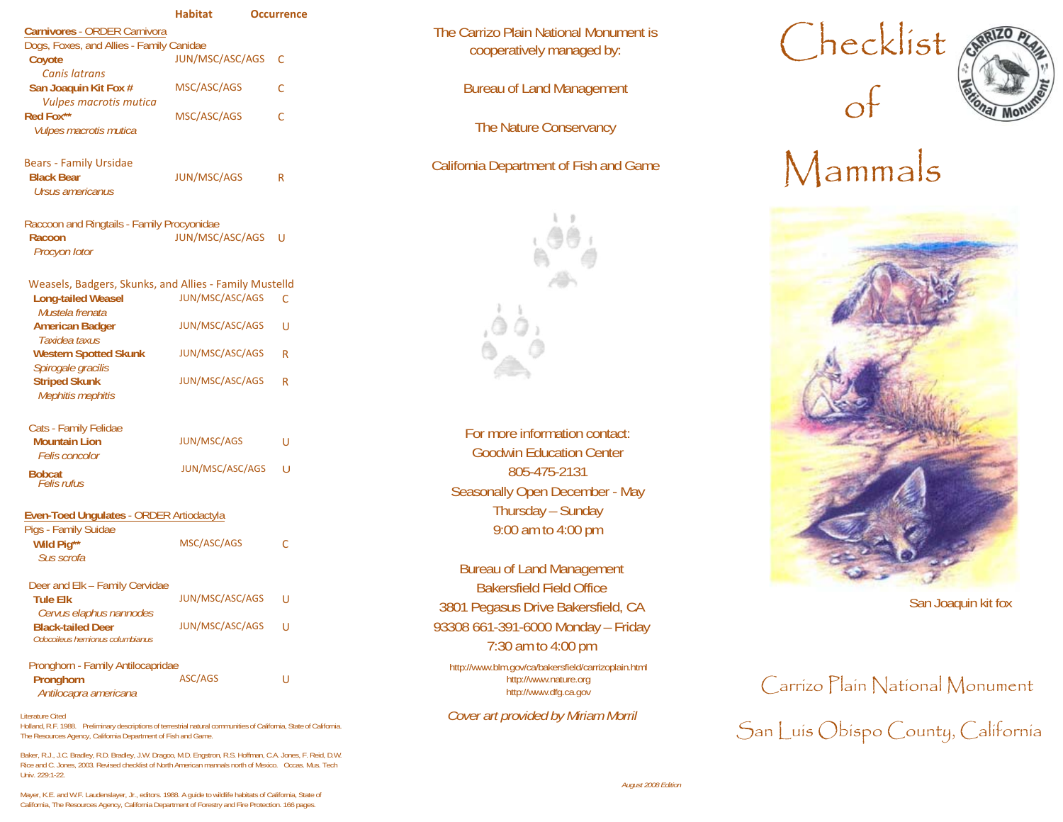|                                                                                        | <b>Habitat</b>         | <b>Occurrence</b> |  |
|----------------------------------------------------------------------------------------|------------------------|-------------------|--|
| <b>Carnivores - ORDER Carnivora</b>                                                    |                        |                   |  |
| Dogs, Foxes, and Allies - Family Canidae<br>Coyote<br><b>Canis latrans</b>             | JUN/MSC/ASC/AGS        | C                 |  |
| San Joaquin Kit Fox #<br><b>Vulpes macrotis mutica</b>                                 | MSC/ASC/AGS            | C                 |  |
| Red Fox**<br>Vulpes macrotis mutica                                                    | MSC/ASC/AGS            | C                 |  |
| <b>Bears - Family Ursidae</b><br><b>Black Bear</b><br>Ursus americanus                 | <b>JUN/MSC/AGS</b>     | R                 |  |
| Raccoon and Ringtails - Family Procyonidae<br>Racoon<br>Procyon lotor                  | <b>JUN/MSC/ASC/AGS</b> | U                 |  |
| Weasels, Badgers, Skunks, and Allies - Family Mustelld<br><b>Long-tailed Weasel</b>    | JUN/MSC/ASC/AGS        | C                 |  |
| Mustela frenata<br><b>American Badger</b><br>Taxidea taxus                             | JUN/MSC/ASC/AGS        | U                 |  |
| <b>Western Spotted Skunk</b><br>Spirogale gracilis                                     | JUN/MSC/ASC/AGS        | R                 |  |
| <b>Striped Skunk</b><br>Mephitis mephitis                                              | <b>JUN/MSC/ASC/AGS</b> | R                 |  |
| Cats - Family Felidae<br><b>Mountain Lion</b>                                          | <b>JUN/MSC/AGS</b>     | U                 |  |
| Felis concolor                                                                         | <b>JUN/MSC/ASC/AGS</b> | U                 |  |
| <b>Bobcat</b><br>Felis rufus                                                           |                        |                   |  |
| <b>Even-Toed Unqulates - ORDER Artiodactyla</b><br>Pigs - Family Suidae                |                        |                   |  |
| Wild Pig**<br>Sus scrofa                                                               | MSC/ASC/AGS            | C                 |  |
| Deer and Elk - Family Cervidae<br><b>Tule Elk</b>                                      | <b>JUN/MSC/ASC/AGS</b> | U                 |  |
| Cervus elaphus nannodes<br><b>Black-tailed Deer</b><br>Odocoileus hemionus columbianus | <b>JUN/MSC/ASC/AGS</b> | U                 |  |
| Pronghorn - Family Antilocapridae<br>Pronghorn<br>Antilocapra americana                | ASC/AGS                | U                 |  |
| Literature Cited                                                                       |                        |                   |  |

 Holland, R.F. 1988. Preliminary descriptions of terrestrial natural communities of California, State of California. The Resources Agency, California Department of Fish and Game.

Baker, R.J., J.C. Bradley, R.D. Bradley, J.W. Dragoo, M.D. Engstron, R.S. Hoffman, C.A. Jones, F. Reid, D.W. Rice and C. Jones, 2003. Revised checklist of North American mannals north of Mexico. Occas. Mus. Tech Univ. 229:1-22.

The Carrizo Plain National Monument is arrizo Plain National Monument is<br>cooperatively managed by:  $\text{Checklist}$ 

Bureau of Land Management  $\mathsf{G}^\mathsf{f}$ 

The Nature Conservancy



For more information contact: Goodwin Education Center 805-475-2131 Seasonally Open December - May Thursday – Sunday 9:00 am to 4:00 pm

Bureau of Land Management Bakersfield Field Office San Joaquin kit fox 3801 Pegasus Drive Bakersfield, CA 93308 661-391-6000 Monday – Friday 7:30 am to 4:00 pm

http://www.blm.gov/ca/bakersfield/carrizoplain.html



# California Department of Fish and Game  $M$ ammals



## http://www.nature.org http://www.nature.org Carrizo Plain National Monument Cover art provided by Miriam Morril **San Luis Obispo County**, California